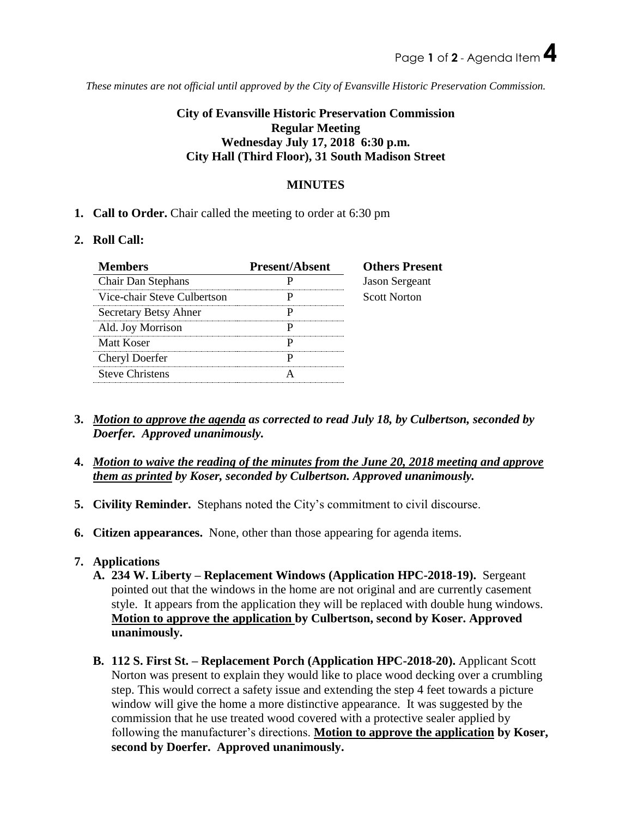*These minutes are not official until approved by the City of Evansville Historic Preservation Commission.*

# **City of Evansville Historic Preservation Commission Regular Meeting Wednesday July 17, 2018 6:30 p.m. City Hall (Third Floor), 31 South Madison Street**

## **MINUTES**

**1. Call to Order.** Chair called the meeting to order at 6:30 pm

### **2. Roll Call:**

| <b>Members</b>              | <b>Present/Absent</b> | <b>Others Present</b> |
|-----------------------------|-----------------------|-----------------------|
| Chair Dan Stephans          |                       | <b>Jason Sergeant</b> |
| Vice-chair Steve Culbertson |                       | <b>Scott Norton</b>   |
| Secretary Betsy Ahner       |                       |                       |
| Ald. Joy Morrison           |                       |                       |
| Matt Koser                  |                       |                       |
| Cheryl Doerfer              |                       |                       |
| <b>Steve Christens</b>      |                       |                       |

- **3.** *Motion to approve the agenda as corrected to read July 18, by Culbertson, seconded by Doerfer. Approved unanimously.*
- **4.** *Motion to waive the reading of the minutes from the June 20, 2018 meeting and approve them as printed by Koser, seconded by Culbertson. Approved unanimously.*
- **5. Civility Reminder.** Stephans noted the City's commitment to civil discourse.
- **6. Citizen appearances.** None, other than those appearing for agenda items.

### **7. Applications**

- **A. 234 W. Liberty – Replacement Windows (Application HPC-2018-19).** Sergeant pointed out that the windows in the home are not original and are currently casement style. It appears from the application they will be replaced with double hung windows. **Motion to approve the application by Culbertson, second by Koser. Approved unanimously.**
- **B. 112 S. First St. – Replacement Porch (Application HPC-2018-20).** Applicant Scott Norton was present to explain they would like to place wood decking over a crumbling step. This would correct a safety issue and extending the step 4 feet towards a picture window will give the home a more distinctive appearance. It was suggested by the commission that he use treated wood covered with a protective sealer applied by following the manufacturer's directions. **Motion to approve the application by Koser, second by Doerfer. Approved unanimously.**